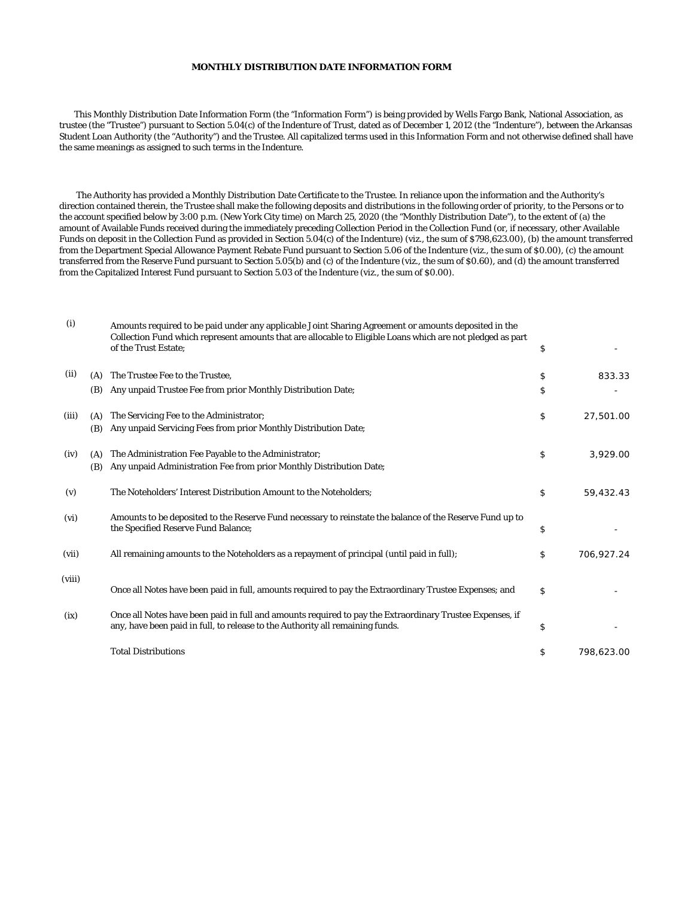## **MONTHLY DISTRIBUTION DATE INFORMATION FORM**

 This Monthly Distribution Date Information Form (the "Information Form") is being provided by Wells Fargo Bank, National Association, as trustee (the "Trustee") pursuant to Section 5.04(c) of the Indenture of Trust, dated as of December 1, 2012 (the "Indenture"), between the Arkansas Student Loan Authority (the "Authority") and the Trustee. All capitalized terms used in this Information Form and not otherwise defined shall have the same meanings as assigned to such terms in the Indenture.

 The Authority has provided a Monthly Distribution Date Certificate to the Trustee. In reliance upon the information and the Authority's direction contained therein, the Trustee shall make the following deposits and distributions in the following order of priority, to the Persons or to the account specified below by 3:00 p.m. (New York City time) on March 25, 2020 (the "Monthly Distribution Date"), to the extent of (a) the amount of Available Funds received during the immediately preceding Collection Period in the Collection Fund (or, if necessary, other Available Funds on deposit in the Collection Fund as provided in Section 5.04(c) of the Indenture) (viz., the sum of \$798,623.00), (b) the amount transferred from the Department Special Allowance Payment Rebate Fund pursuant to Section 5.06 of the Indenture (viz., the sum of \$0.00), (c) the amount transferred from the Reserve Fund pursuant to Section 5.05(b) and (c) of the Indenture (viz., the sum of \$0.60), and (d) the amount transferred from the Capitalized Interest Fund pursuant to Section 5.03 of the Indenture (viz., the sum of \$0.00).

| (i)    |            | Amounts required to be paid under any applicable Joint Sharing Agreement or amounts deposited in the<br>Collection Fund which represent amounts that are allocable to Eligible Loans which are not pledged as part<br>of the Trust Estate; | \$               |
|--------|------------|--------------------------------------------------------------------------------------------------------------------------------------------------------------------------------------------------------------------------------------------|------------------|
| (ii)   | (A)        | The Trustee Fee to the Trustee,                                                                                                                                                                                                            | \$<br>833.33     |
|        | (B)        | Any unpaid Trustee Fee from prior Monthly Distribution Date;                                                                                                                                                                               | \$               |
| (iii)  | (A)<br>(B) | The Servicing Fee to the Administrator;<br>Any unpaid Servicing Fees from prior Monthly Distribution Date;                                                                                                                                 | \$<br>27,501.00  |
| (iv)   | (A)<br>(B) | The Administration Fee Payable to the Administrator;<br>Any unpaid Administration Fee from prior Monthly Distribution Date;                                                                                                                | \$<br>3,929.00   |
| (v)    |            | The Noteholders' Interest Distribution Amount to the Noteholders;                                                                                                                                                                          | \$<br>59,432.43  |
| (vi)   |            | Amounts to be deposited to the Reserve Fund necessary to reinstate the balance of the Reserve Fund up to<br>the Specified Reserve Fund Balance;                                                                                            | \$               |
| (vii)  |            | All remaining amounts to the Noteholders as a repayment of principal (until paid in full);                                                                                                                                                 | \$<br>706,927.24 |
| (viii) |            | Once all Notes have been paid in full, amounts required to pay the Extraordinary Trustee Expenses; and                                                                                                                                     | \$               |
| (ix)   |            | Once all Notes have been paid in full and amounts required to pay the Extraordinary Trustee Expenses, if<br>any, have been paid in full, to release to the Authority all remaining funds.                                                  | \$               |
|        |            | <b>Total Distributions</b>                                                                                                                                                                                                                 | \$<br>798,623.00 |